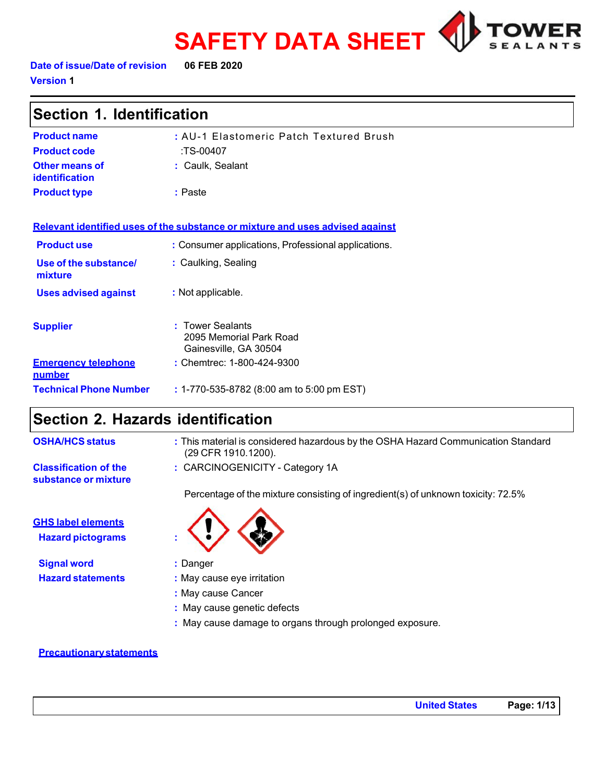



**Date of issue/Date of revision 06 FEB 2020 Version 1** 

| Section 1. Identification               |                                                                               |  |
|-----------------------------------------|-------------------------------------------------------------------------------|--|
| <b>Product name</b>                     | : AU-1 Elastomeric Patch Textured Brush                                       |  |
| <b>Product code</b>                     | :TS-00407                                                                     |  |
| Other means of<br><b>identification</b> | : Caulk, Sealant                                                              |  |
| <b>Product type</b>                     | : Paste                                                                       |  |
|                                         | Relevant identified uses of the substance or mixture and uses advised against |  |
| <b>Product use</b>                      | : Consumer applications, Professional applications.                           |  |
| Use of the substance/<br>mixture        | : Caulking, Sealing                                                           |  |
| <b>Uses advised against</b>             | : Not applicable.                                                             |  |
| <b>Supplier</b>                         | <b>Tower Sealants</b><br>2095 Memorial Park Road<br>Gainesville, GA 30504     |  |
| <b>Emergency telephone</b><br>number    | : Chemtrec: 1-800-424-9300                                                    |  |
| <b>Technical Phone Number</b>           | : 1-770-535-8782 (8:00 am to 5:00 pm EST)                                     |  |

### **Section 2. Hazards identification**

| <b>OSHA/HCS status</b>                                | : This material is considered hazardous by the OSHA Hazard Communication Standard<br>(29 CFR 1910.1200). |
|-------------------------------------------------------|----------------------------------------------------------------------------------------------------------|
| <b>Classification of the</b><br>substance or mixture  | : CARCINOGENICITY - Category 1A                                                                          |
|                                                       | Percentage of the mixture consisting of ingredient(s) of unknown toxicity: 72.5%                         |
| <b>GHS label elements</b><br><b>Hazard pictograms</b> |                                                                                                          |
| <b>Signal word</b>                                    | : Danger                                                                                                 |

**Hazard statements** : May cause eye irritation

- **:** May cause Cancer
- 
- **:** May cause damage to organs through prolonged exposure.

#### **Precautionarystatements**

- 
- 
- **:** May cause genetic defects
-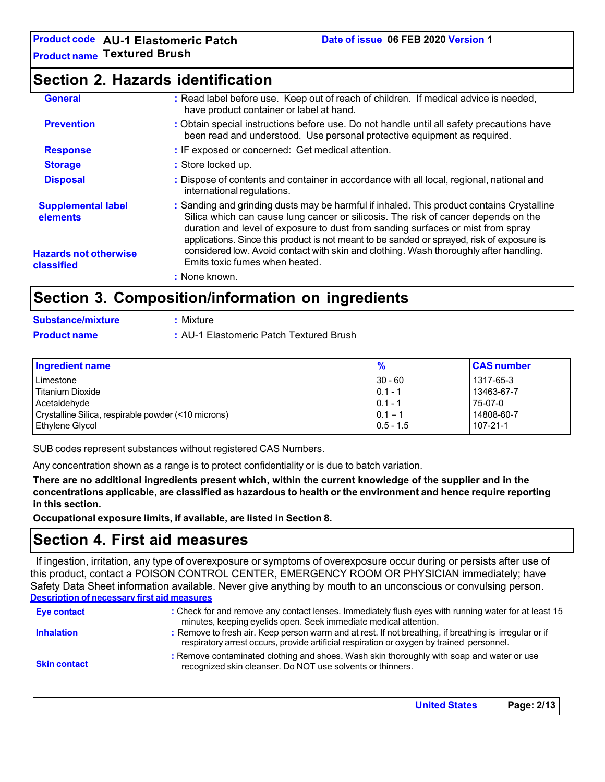### **Section 2. Hazards identification**

| <b>General</b>                             | : Read label before use. Keep out of reach of children. If medical advice is needed,<br>have product container or label at hand.                                                                                                                                                                                                                                 |
|--------------------------------------------|------------------------------------------------------------------------------------------------------------------------------------------------------------------------------------------------------------------------------------------------------------------------------------------------------------------------------------------------------------------|
| <b>Prevention</b>                          | : Obtain special instructions before use. Do not handle until all safety precautions have<br>been read and understood. Use personal protective equipment as required.                                                                                                                                                                                            |
| <b>Response</b>                            | : IF exposed or concerned: Get medical attention.                                                                                                                                                                                                                                                                                                                |
| <b>Storage</b>                             | : Store locked up.                                                                                                                                                                                                                                                                                                                                               |
| <b>Disposal</b>                            | : Dispose of contents and container in accordance with all local, regional, national and<br>international regulations.                                                                                                                                                                                                                                           |
| <b>Supplemental label</b><br>elements      | : Sanding and grinding dusts may be harmful if inhaled. This product contains Crystalline<br>Silica which can cause lung cancer or silicosis. The risk of cancer depends on the<br>duration and level of exposure to dust from sanding surfaces or mist from spray<br>applications. Since this product is not meant to be sanded or sprayed, risk of exposure is |
| <b>Hazards not otherwise</b><br>classified | considered low. Avoid contact with skin and clothing. Wash thoroughly after handling.<br>Emits toxic fumes when heated.                                                                                                                                                                                                                                          |
|                                            | : None known.                                                                                                                                                                                                                                                                                                                                                    |
| Raatian 2                                  | Composition/information on ingradiante                                                                                                                                                                                                                                                                                                                           |

# **Section 3. Composition/information on ingredients**

| <b>Substance/mixture</b> | : Mixture                               |
|--------------------------|-----------------------------------------|
| <b>Product name</b>      | : AU-1 Elastomeric Patch Textured Brush |

| <b>Ingredient name</b>                              | $\frac{9}{6}$ | <b>CAS number</b> |
|-----------------------------------------------------|---------------|-------------------|
| Limestone                                           | $ 30 - 60 $   | 1317-65-3         |
| l Titanium Dioxide                                  | $ 0.1 - 1$    | 13463-67-7        |
| Acetaldehyde                                        | $ 0.1 - 1$    | 75-07-0           |
| Crystalline Silica, respirable powder (<10 microns) | $0.1 - 1$     | 14808-60-7        |
| Ethylene Glycol                                     | $0.5 - 1.5$   | 107-21-1          |

SUB codes represent substances without registered CAS Numbers.

Any concentration shown as a range is to protect confidentiality or is due to batch variation.

**There are no additional ingredients present which, within the current knowledge of the supplier and in the concentrations applicable, are classified as hazardous to health or the environment and hence require reporting in this section.**

**Occupational exposure limits, if available, are listed in Section 8.**

# **Section 4. First aid measures**

If ingestion, irritation, any type of overexposure or symptoms of overexposure occur during or persists after use of this product, contact a POISON CONTROL CENTER, EMERGENCY ROOM OR PHYSICIAN immediately; have Safety Data Sheet information available. Never give anything by mouth to an unconscious or convulsing person. **Description of necessary first aid measures**

| Eye contact         | : Check for and remove any contact lenses. Immediately flush eyes with running water for at least 15<br>minutes, keeping eyelids open. Seek immediate medical attention.                            |  |
|---------------------|-----------------------------------------------------------------------------------------------------------------------------------------------------------------------------------------------------|--|
| <b>Inhalation</b>   | : Remove to fresh air. Keep person warm and at rest. If not breathing, if breathing is irregular or if<br>respiratory arrest occurs, provide artificial respiration or oxygen by trained personnel. |  |
| <b>Skin contact</b> | : Remove contaminated clothing and shoes. Wash skin thoroughly with soap and water or use<br>recognized skin cleanser. Do NOT use solvents or thinners.                                             |  |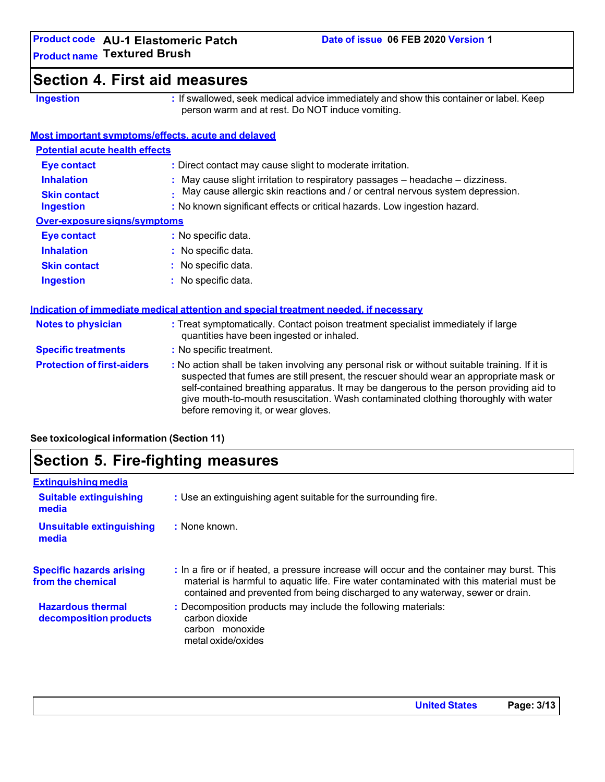# **Section 4. First aid measures**

**Ingestion :** If swallowed, seek medical advice immediately and show this container or label. Keep person warm and at rest. Do NOT induce vomiting.

#### **Most important symptoms/effects, acute and delayed**

| <b>Potential acute health effects</b> |                                                                               |  |
|---------------------------------------|-------------------------------------------------------------------------------|--|
| <b>Eye contact</b>                    | : Direct contact may cause slight to moderate irritation.                     |  |
| <b>Inhalation</b>                     | : May cause slight irritation to respiratory passages - headache - dizziness. |  |
| <b>Skin contact</b>                   | May cause allergic skin reactions and / or central nervous system depression. |  |
| <b>Ingestion</b>                      | : No known significant effects or critical hazards. Low ingestion hazard.     |  |
| Over-exposure signs/symptoms          |                                                                               |  |
| <b>Eye contact</b>                    | : No specific data.                                                           |  |
| <b>Inhalation</b>                     | : No specific data.                                                           |  |
| <b>Skin contact</b>                   | : No specific data.                                                           |  |
| <b>Ingestion</b>                      | $:$ No specific data.                                                         |  |

#### **Indication of immediate medical attention and special treatment needed, if necessary Notes to physician :** Treat symptomatically. Contact poison treatment specialist immediately if large quantities have been ingested or inhaled. **Specific treatments :** No specific treatment. **Protection of first-aiders :** No action shall be taken involving any personal risk or without suitable training. If it is suspected that fumes are still present, the rescuer should wear an appropriate mask or self-contained breathing apparatus. It may be dangerous to the person providing aid to give mouth-to-mouth resuscitation. Wash contaminated clothing thoroughly with water before removing it, or wear gloves.

**See toxicological information (Section 11)**

# **Section 5. Fire-fighting measures**

| <b>Extinguishing media</b>                           |                                                                                                                                                                                                                                                                         |
|------------------------------------------------------|-------------------------------------------------------------------------------------------------------------------------------------------------------------------------------------------------------------------------------------------------------------------------|
| <b>Suitable extinguishing</b><br>media               | : Use an extinguishing agent suitable for the surrounding fire.                                                                                                                                                                                                         |
| <b>Unsuitable extinguishing</b><br>media             | : None known.                                                                                                                                                                                                                                                           |
| <b>Specific hazards arising</b><br>from the chemical | : In a fire or if heated, a pressure increase will occur and the container may burst. This<br>material is harmful to aquatic life. Fire water contaminated with this material must be<br>contained and prevented from being discharged to any waterway, sewer or drain. |
| <b>Hazardous thermal</b><br>decomposition products   | : Decomposition products may include the following materials:<br>carbon dioxide<br>carbon monoxide<br>metal oxide/oxides                                                                                                                                                |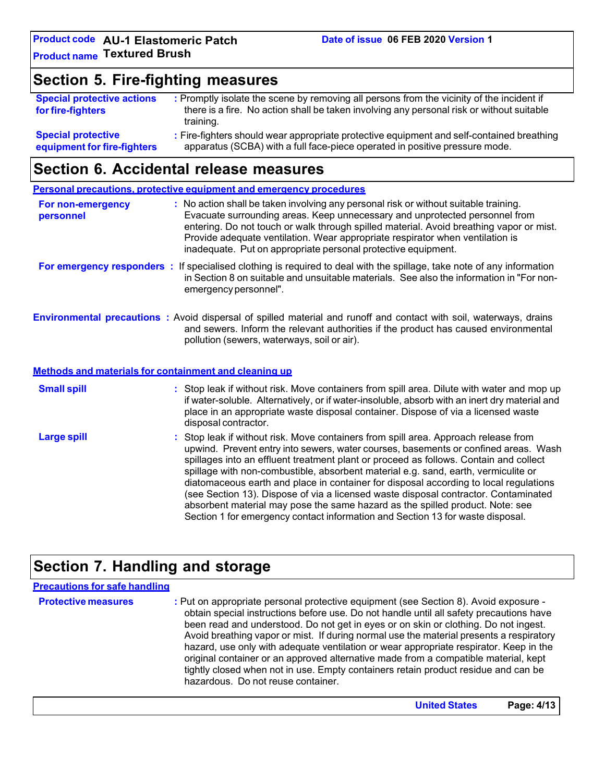# **Section 5. Fire-fighting measures**

| <b>Special protective actions</b>                        | : Promptly isolate the scene by removing all persons from the vicinity of the incident if                                                                                |
|----------------------------------------------------------|--------------------------------------------------------------------------------------------------------------------------------------------------------------------------|
| for fire-fighters                                        | there is a fire. No action shall be taken involving any personal risk or without suitable                                                                                |
|                                                          | training.                                                                                                                                                                |
| <b>Special protective</b><br>equipment for fire-fighters | : Fire-fighters should wear appropriate protective equipment and self-contained breathing<br>apparatus (SCBA) with a full face-piece operated in positive pressure mode. |

### **Section 6. Accidental release measures**

**Personal precautions, protective equipment and emergency procedures For non-emergency personnel :** No action shall be taken involving any personal risk or without suitable training. Evacuate surrounding areas. Keep unnecessary and unprotected personnel from entering. Do not touch or walk through spilled material. Avoid breathing vapor or mist. Provide adequate ventilation. Wear appropriate respirator when ventilation is inadequate. Put on appropriate personal protective equipment. **For emergency responders :** If specialised clothing is required to deal with the spillage, take note of any information in Section 8 on suitable and unsuitable materials. See also the information in "For nonemergency personnel". **Environmental precautions :** Avoid dispersal of spilled material and runoff and contact with soil, waterways, drains and sewers. Inform the relevant authorities if the product has caused environmental pollution (sewers, waterways, soil or air). **Methods and materials for containment and cleaning up Small spill : Large spill :** Stop leak if without risk. Move containers from spill area. Dilute with water and mop up if water-soluble. Alternatively, or if water-insoluble, absorb with an inert dry material and place in an appropriate waste disposal container. Dispose of via a licensed waste disposal contractor. Stop leak if without risk. Move containers from spill area. Approach release from upwind. Prevent entry into sewers, water courses, basements or confined areas. Wash spillages into an effluent treatment plant or proceed as follows. Contain and collect spillage with non-combustible, absorbent material e.g. sand, earth, vermiculite or diatomaceous earth and place in container for disposal according to local regulations (see Section 13). Dispose of via a licensed waste disposal contractor. Contaminated absorbent material may pose the same hazard as the spilled product. Note: see Section 1 for emergency contact information and Section 13 for waste disposal.

# **Section 7. Handling and storage**

| <b>Precautions for safe handling</b> |                                                                                                                                                                                                                                                                                                                                                                                                                                                                                                                                                                                                                                                                                |
|--------------------------------------|--------------------------------------------------------------------------------------------------------------------------------------------------------------------------------------------------------------------------------------------------------------------------------------------------------------------------------------------------------------------------------------------------------------------------------------------------------------------------------------------------------------------------------------------------------------------------------------------------------------------------------------------------------------------------------|
| <b>Protective measures</b>           | : Put on appropriate personal protective equipment (see Section 8). Avoid exposure -<br>obtain special instructions before use. Do not handle until all safety precautions have<br>been read and understood. Do not get in eyes or on skin or clothing. Do not ingest.<br>Avoid breathing vapor or mist. If during normal use the material presents a respiratory<br>hazard, use only with adequate ventilation or wear appropriate respirator. Keep in the<br>original container or an approved alternative made from a compatible material, kept<br>tightly closed when not in use. Empty containers retain product residue and can be<br>hazardous. Do not reuse container. |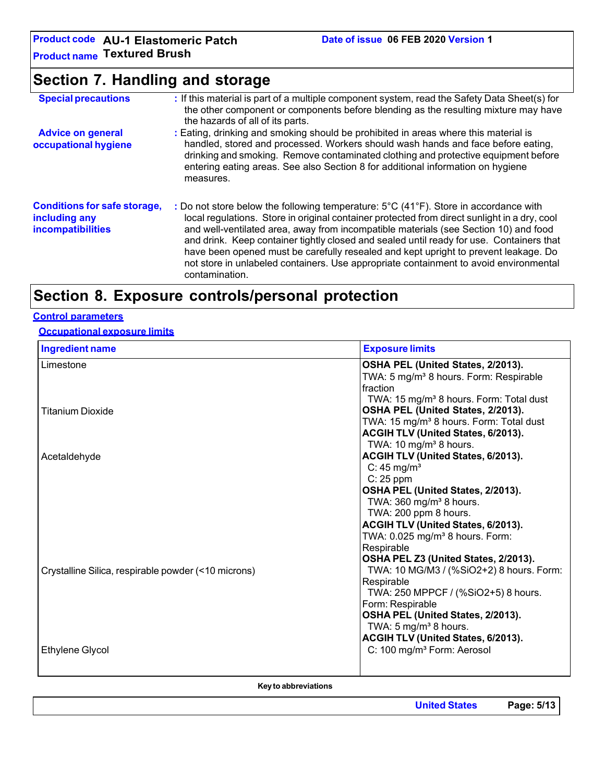**Product code AU-1 Elastomeric Patch Product name Textured Brush**

# **Section 7. Handling and storage**

| <b>Special precautions</b>                                                       | : If this material is part of a multiple component system, read the Safety Data Sheet(s) for<br>the other component or components before blending as the resulting mixture may have<br>the hazards of all of its parts.                                                                                                                                                                                                                                                                                                                                                    |
|----------------------------------------------------------------------------------|----------------------------------------------------------------------------------------------------------------------------------------------------------------------------------------------------------------------------------------------------------------------------------------------------------------------------------------------------------------------------------------------------------------------------------------------------------------------------------------------------------------------------------------------------------------------------|
| <b>Advice on general</b><br>occupational hygiene                                 | : Eating, drinking and smoking should be prohibited in areas where this material is<br>handled, stored and processed. Workers should wash hands and face before eating,<br>drinking and smoking. Remove contaminated clothing and protective equipment before<br>entering eating areas. See also Section 8 for additional information on hygiene<br>measures.                                                                                                                                                                                                              |
| <b>Conditions for safe storage,</b><br>including any<br><b>incompatibilities</b> | : Do not store below the following temperature: 5°C (41°F). Store in accordance with<br>local regulations. Store in original container protected from direct sunlight in a dry, cool<br>and well-ventilated area, away from incompatible materials (see Section 10) and food<br>and drink. Keep container tightly closed and sealed until ready for use. Containers that<br>have been opened must be carefully resealed and kept upright to prevent leakage. Do<br>not store in unlabeled containers. Use appropriate containment to avoid environmental<br>contamination. |

# **Section 8. Exposure controls/personal protection**

#### **Control parameters**

### **Occupational exposure limits**

| <b>Ingredient name</b>                              | <b>Exposure limits</b>                              |
|-----------------------------------------------------|-----------------------------------------------------|
| Limestone                                           | OSHA PEL (United States, 2/2013).                   |
|                                                     | TWA: 5 mg/m <sup>3</sup> 8 hours. Form: Respirable  |
|                                                     | fraction                                            |
|                                                     | TWA: 15 mg/m <sup>3</sup> 8 hours. Form: Total dust |
| <b>Titanium Dioxide</b>                             | OSHA PEL (United States, 2/2013).                   |
|                                                     | TWA: 15 mg/m <sup>3</sup> 8 hours. Form: Total dust |
|                                                     | ACGIH TLV (United States, 6/2013).                  |
|                                                     | TWA: 10 mg/m <sup>3</sup> 8 hours.                  |
| Acetaldehyde                                        | ACGIH TLV (United States, 6/2013).                  |
|                                                     | $C: 45$ mg/m <sup>3</sup>                           |
|                                                     | $C: 25$ ppm                                         |
|                                                     | OSHA PEL (United States, 2/2013).                   |
|                                                     | TWA: 360 mg/m <sup>3</sup> 8 hours.                 |
|                                                     | TWA: 200 ppm 8 hours.                               |
|                                                     | ACGIH TLV (United States, 6/2013).                  |
|                                                     | TWA: 0.025 mg/m <sup>3</sup> 8 hours. Form:         |
|                                                     | Respirable                                          |
|                                                     | OSHA PEL Z3 (United States, 2/2013).                |
| Crystalline Silica, respirable powder (<10 microns) | TWA: 10 MG/M3 / (%SiO2+2) 8 hours. Form:            |
|                                                     | Respirable                                          |
|                                                     | TWA: 250 MPPCF / (%SiO2+5) 8 hours.                 |
|                                                     | Form: Respirable                                    |
|                                                     | OSHA PEL (United States, 2/2013).                   |
|                                                     | TWA: 5 mg/m <sup>3</sup> 8 hours.                   |
|                                                     | ACGIH TLV (United States, 6/2013).                  |
| Ethylene Glycol                                     | C: 100 mg/m <sup>3</sup> Form: Aerosol              |
|                                                     |                                                     |
|                                                     |                                                     |

**Keyto abbreviations**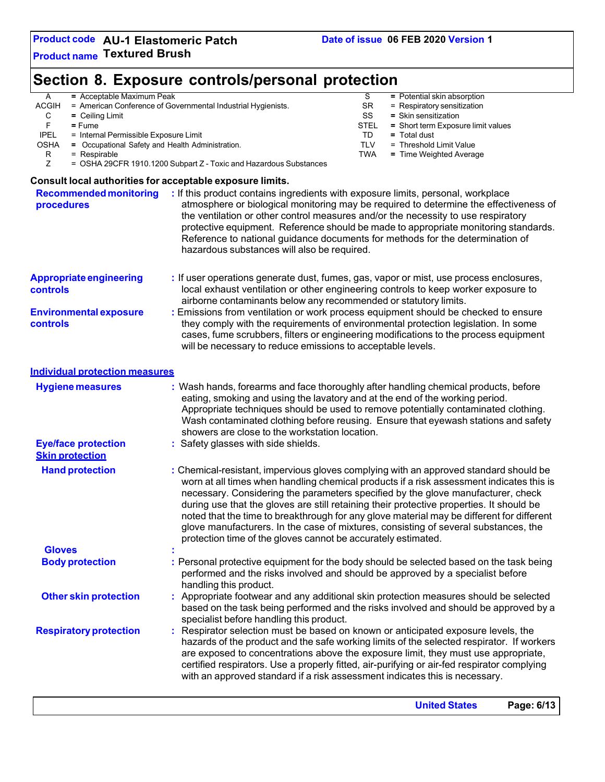#### **Section 8. Exposure controls/personal protection** A = Acceptable Maximum Peak<br>ACGIH = American Conference of Governmental Industrial Hygienists. SR = Respiratory sensitization = American Conference of Governmental Industrial Hygienists. SR = Respiratory sensitization<br>= Ceiling Limit distribution = Ceiling Limit C = Ceiling Limit SS = Skin sensitization<br>
F = Fume = Stelling Limit STEL = Short term Exposition F = Fume **=** Fume STEL = Short term Exposure limit values<br>IPEL = Internal Permissible Exposure Limit IPEL = Internal Permissible Exposure Limit TD **=** Total dust OSHA **=** Occupational Safety and Health Administration. TLV = Threshold Limit Value R = Respirable **TWA** = Time Weighted Average **TWA** = Time Weighted Average **TWA** = Time Weighted Average = OSHA 29CFR 1910.1200 Subpart Z - Toxic and Hazardous Substances **Consult local authorities for acceptable exposure limits. Recommended monitoring procedures :** If this product contains ingredients with exposure limits, personal, workplace atmosphere or biological monitoring may be required to determine the effectiveness of the ventilation or other control measures and/or the necessity to use respiratory protective equipment. Reference should be made to appropriate monitoring standards. Reference to national guidance documents for methods for the determination of hazardous substances will also be required. **Appropriate engineering controls Environmental exposure controls :** If user operations generate dust, fumes, gas, vapor or mist, use process enclosures, local exhaust ventilation or other engineering controls to keep worker exposure to airborne contaminants below any recommended or statutory limits. **:** Emissions from ventilation or work process equipment should be checked to ensure they comply with the requirements of environmental protection legislation. In some

cases, fume scrubbers, filters or engineering modifications to the process equipment

will be necessary to reduce emissions to acceptable levels. **Individual protection measures Hygiene measures :** Wash hands, forearms and face thoroughly after handling chemical products, before eating, smoking and using the lavatory and at the end of the working period. Appropriate techniques should be used to remove potentially contaminated clothing. Wash contaminated clothing before reusing. Ensure that eyewash stations and safety showers are close to the workstation location. **Eye/face protection Skin protection Hand protection :** Safety glasses with side shields. **:** Chemical-resistant, impervious gloves complying with an approved standard should be worn at all times when handling chemical products if a risk assessment indicates this is necessary. Considering the parameters specified by the glove manufacturer, check during use that the gloves are still retaining their protective properties. It should be noted that the time to breakthrough for any glove material may be different for different glove manufacturers. In the case of mixtures, consisting of several substances, the protection time of the gloves cannot be accurately estimated. **Gloves : Body protection :** Personal protective equipment for the body should be selected based on the task being performed and the risks involved and should be approved by a specialist before handling this product. **Other skin protection : Respiratory protection** Appropriate footwear and any additional skin protection measures should be selected based on the task being performed and the risks involved and should be approved by a specialist before handling this product. Respirator selection must be based on known or anticipated exposure levels, the hazards of the product and the safe working limits of the selected respirator. If workers are exposed to concentrations above the exposure limit, they must use appropriate, certified respirators. Use a properly fitted, air-purifying or air-fed respirator complying with an approved standard if a risk assessment indicates this is necessary.

**United States Page: 6/13**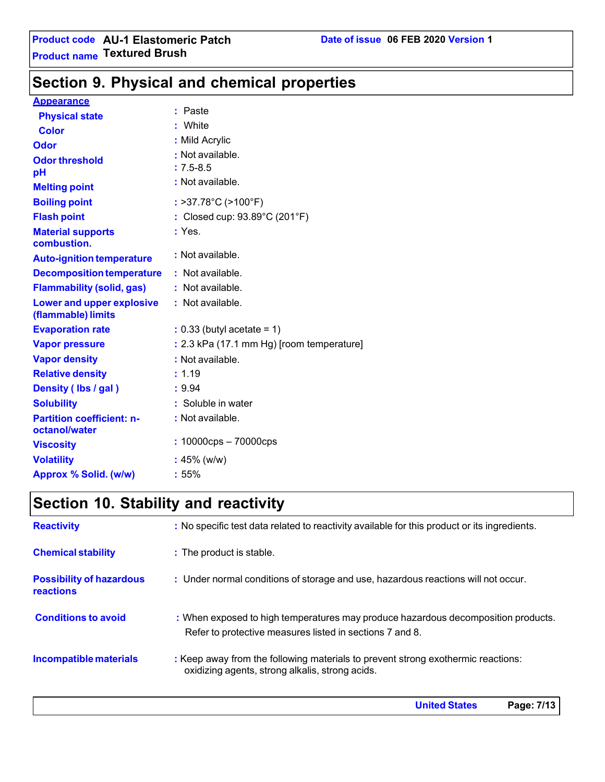# **Section 9. Physical and chemical properties**

#### **Appearance**

| <b>Physical state</b>                             | : Paste                                            |
|---------------------------------------------------|----------------------------------------------------|
| <b>Color</b>                                      | : White                                            |
| Odor                                              | : Mild Acrylic                                     |
| <b>Odor threshold</b>                             | : Not available.                                   |
| рH                                                | $: 7.5 - 8.5$                                      |
| <b>Melting point</b>                              | : Not available.                                   |
| <b>Boiling point</b>                              | : >37.78°C (>100°F)                                |
| <b>Flash point</b>                                | : Closed cup: $93.89^{\circ}$ C (201 $^{\circ}$ F) |
| <b>Material supports</b><br>combustion.           | : Yes.                                             |
| <b>Auto-ignition temperature</b>                  | : Not available.                                   |
| <b>Decomposition temperature</b>                  | : Not available.                                   |
|                                                   |                                                    |
| <b>Flammability (solid, gas)</b>                  | : Not available.                                   |
| Lower and upper explosive<br>(flammable) limits   | : Not available.                                   |
| <b>Evaporation rate</b>                           | $: 0.33$ (butyl acetate = 1)                       |
| <b>Vapor pressure</b>                             | : 2.3 kPa (17.1 mm Hg) [room temperature]          |
| <b>Vapor density</b>                              | : Not available.                                   |
| <b>Relative density</b>                           | : 1.19                                             |
| Density (Ibs / gal)                               | : 9.94                                             |
| <b>Solubility</b>                                 | : Soluble in water                                 |
| <b>Partition coefficient: n-</b><br>octanol/water | : Not available.                                   |
| <b>Viscosity</b>                                  | $: 10000$ cps $- 70000$ cps                        |
| <b>Volatility</b>                                 | $: 45\%$ (w/w)                                     |
| Approx % Solid. (w/w)                             | :55%                                               |

# **Section 10. Stability and reactivity**

| <b>Reactivity</b>                            | : No specific test data related to reactivity available for this product or its ingredients.                                                  |
|----------------------------------------------|-----------------------------------------------------------------------------------------------------------------------------------------------|
| <b>Chemical stability</b>                    | : The product is stable.                                                                                                                      |
| <b>Possibility of hazardous</b><br>reactions | : Under normal conditions of storage and use, hazardous reactions will not occur.                                                             |
| <b>Conditions to avoid</b>                   | : When exposed to high temperatures may produce hazardous decomposition products.<br>Refer to protective measures listed in sections 7 and 8. |
| Incompatible materials                       | : Keep away from the following materials to prevent strong exothermic reactions:<br>oxidizing agents, strong alkalis, strong acids.           |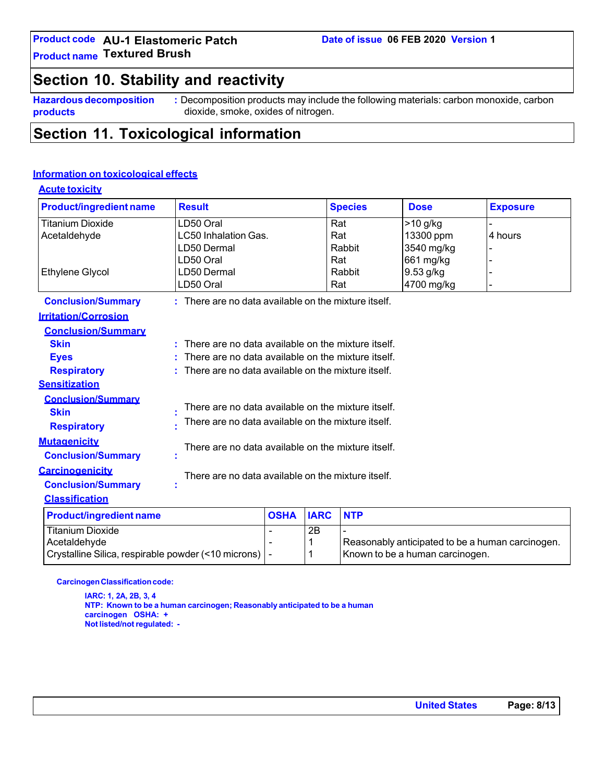# **Section 10. Stability and reactivity**

**Hazardous decomposition products**

**:** Decomposition products may include the following materials: carbon monoxide, carbon dioxide, smoke, oxides of nitrogen.

# **Section 11. Toxicological information**

#### **Information on toxicological effects**

| <b>Acute toxicity</b>          |                                                         |             |             |                |                                                  |                 |
|--------------------------------|---------------------------------------------------------|-------------|-------------|----------------|--------------------------------------------------|-----------------|
| <b>Product/ingredient name</b> | <b>Result</b>                                           |             |             | <b>Species</b> | <b>Dose</b>                                      | <b>Exposure</b> |
| <b>Titanium Dioxide</b>        | LD50 Oral                                               |             |             | Rat            | $>10$ g/kg                                       |                 |
| Acetaldehyde                   | LC50 Inhalation Gas.                                    |             |             | Rat            | 13300 ppm                                        | 4 hours         |
|                                | LD50 Dermal                                             |             |             | Rabbit         | 3540 mg/kg                                       |                 |
|                                | LD50 Oral                                               |             |             | Rat            | 661 mg/kg                                        |                 |
| <b>Ethylene Glycol</b>         | LD50 Dermal                                             |             |             | Rabbit         | 9.53 g/kg                                        |                 |
|                                | LD50 Oral                                               |             |             | Rat            | 4700 mg/kg                                       |                 |
| <b>Conclusion/Summary</b>      | $:$ There are no data available on the mixture itself.  |             |             |                |                                                  |                 |
| <b>Irritation/Corrosion</b>    |                                                         |             |             |                |                                                  |                 |
| <b>Conclusion/Summary</b>      |                                                         |             |             |                |                                                  |                 |
| <b>Skin</b>                    | There are no data available on the mixture itself.      |             |             |                |                                                  |                 |
| <b>Eyes</b>                    | There are no data available on the mixture itself.      |             |             |                |                                                  |                 |
| <b>Respiratory</b>             | There are no data available on the mixture itself.<br>٠ |             |             |                |                                                  |                 |
| <b>Sensitization</b>           |                                                         |             |             |                |                                                  |                 |
| <b>Conclusion/Summary</b>      |                                                         |             |             |                |                                                  |                 |
| <b>Skin</b>                    | There are no data available on the mixture itself.      |             |             |                |                                                  |                 |
| <b>Respiratory</b>             | There are no data available on the mixture itself.      |             |             |                |                                                  |                 |
| <b>Mutagenicity</b>            |                                                         |             |             |                |                                                  |                 |
| <b>Conclusion/Summary</b>      | There are no data available on the mixture itself.      |             |             |                |                                                  |                 |
| <b>Carcinogenicity</b>         | There are no data available on the mixture itself.      |             |             |                |                                                  |                 |
| <b>Conclusion/Summary</b>      | t                                                       |             |             |                |                                                  |                 |
| <b>Classification</b>          |                                                         |             |             |                |                                                  |                 |
| <b>Product/ingredient name</b> |                                                         | <b>OSHA</b> | <b>IARC</b> | <b>NTP</b>     |                                                  |                 |
| <b>Titanium Dioxide</b>        |                                                         |             | 2B          |                |                                                  |                 |
| Acetaldehyde                   |                                                         |             | 1           |                | Reasonably anticipated to be a human carcinogen. |                 |

**Carcinogen Classification code:** 

**IARC: 1, 2A, 2B, 3, 4 NTP: Known to be a human carcinogen; Reasonably anticipated to be a human carcinogen OSHA: + Not listed/not regulated: -**

Crystalline Silica, respirable powder (<10 microns)  $\vert \cdot \vert$  | Known to be a human carcinogen.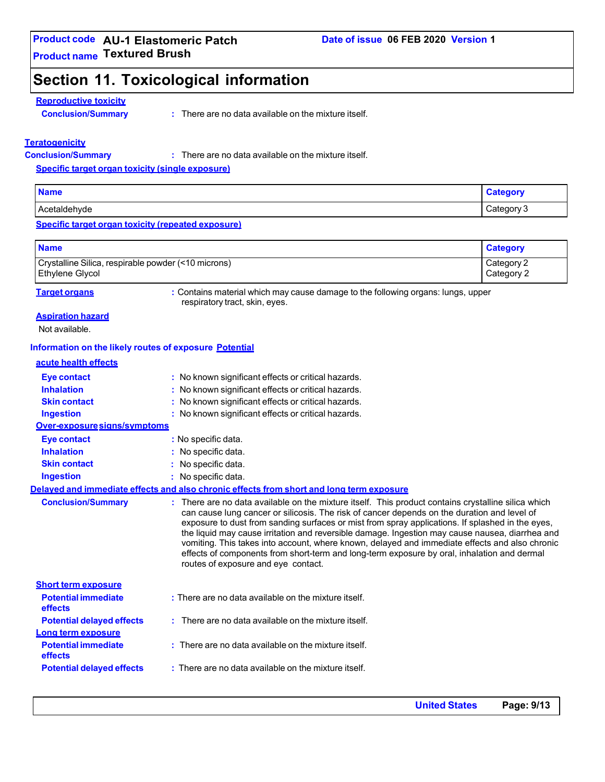# **Section 11. Toxicological information**

#### **Reproductive toxicity**

**Conclusion/Summary :**

: There are no data available on the mixture itself.

#### **Teratogenicity**

**Conclusion/Summary :**

There are no data available on the mixture itself.

**Specific target organ toxicity (single exposure)**

| <b>Name</b>  | <b>PANOM</b>             |
|--------------|--------------------------|
| Acetaldehvde | ∴ategory:<br>ັ<br>ັ້ນຕີລ |

#### **Specific target organ toxicity (repeated exposure)**

| <b>Name</b>                                         | <b>Category</b> |
|-----------------------------------------------------|-----------------|
| Crystalline Silica, respirable powder (<10 microns) | Category 2      |
| <b>Ethylene Glycol</b>                              | Category 2      |

**Target organs :** Contains material which may cause damage to the following organs: lungs, upper respiratory tract, skin, eyes.

#### **Aspiration hazard**

Not available.

#### **Information on the likely routes of exposure Potential**

#### **acute health effects**

| <b>Eye contact</b><br><b>Inhalation</b><br><b>Skin contact</b> | : No known significant effects or critical hazards.<br>: No known significant effects or critical hazards.<br>: No known significant effects or critical hazards.                                                                                                                                                                                                                                                                                                                                                                                                                                                                                 |
|----------------------------------------------------------------|---------------------------------------------------------------------------------------------------------------------------------------------------------------------------------------------------------------------------------------------------------------------------------------------------------------------------------------------------------------------------------------------------------------------------------------------------------------------------------------------------------------------------------------------------------------------------------------------------------------------------------------------------|
| <b>Ingestion</b>                                               | : No known significant effects or critical hazards.                                                                                                                                                                                                                                                                                                                                                                                                                                                                                                                                                                                               |
| Over-exposure signs/symptoms                                   |                                                                                                                                                                                                                                                                                                                                                                                                                                                                                                                                                                                                                                                   |
| <b>Eye contact</b>                                             | : No specific data.                                                                                                                                                                                                                                                                                                                                                                                                                                                                                                                                                                                                                               |
| <b>Inhalation</b>                                              | : No specific data.                                                                                                                                                                                                                                                                                                                                                                                                                                                                                                                                                                                                                               |
| <b>Skin contact</b>                                            | : No specific data.                                                                                                                                                                                                                                                                                                                                                                                                                                                                                                                                                                                                                               |
| <b>Ingestion</b>                                               | : No specific data.                                                                                                                                                                                                                                                                                                                                                                                                                                                                                                                                                                                                                               |
|                                                                | Delaved and immediate effects and also chronic effects from short and long term exposure                                                                                                                                                                                                                                                                                                                                                                                                                                                                                                                                                          |
| <b>Conclusion/Summary</b>                                      | : There are no data available on the mixture itself. This product contains crystalline silica which<br>can cause lung cancer or silicosis. The risk of cancer depends on the duration and level of<br>exposure to dust from sanding surfaces or mist from spray applications. If splashed in the eyes,<br>the liquid may cause irritation and reversible damage. Ingestion may cause nausea, diarrhea and<br>vomiting. This takes into account, where known, delayed and immediate effects and also chronic<br>effects of components from short-term and long-term exposure by oral, inhalation and dermal<br>routes of exposure and eye contact. |
| <b>Short term exposure</b>                                     |                                                                                                                                                                                                                                                                                                                                                                                                                                                                                                                                                                                                                                                   |
| <b>Potential immediate</b><br><b>effects</b>                   | : There are no data available on the mixture itself.                                                                                                                                                                                                                                                                                                                                                                                                                                                                                                                                                                                              |
| <b>Potential delayed effects</b><br>Long term exposure         | : There are no data available on the mixture itself.                                                                                                                                                                                                                                                                                                                                                                                                                                                                                                                                                                                              |
| <b>Potential immediate</b><br><b>effects</b>                   | : There are no data available on the mixture itself.                                                                                                                                                                                                                                                                                                                                                                                                                                                                                                                                                                                              |
| <b>Potential delayed effects</b>                               | : There are no data available on the mixture itself.                                                                                                                                                                                                                                                                                                                                                                                                                                                                                                                                                                                              |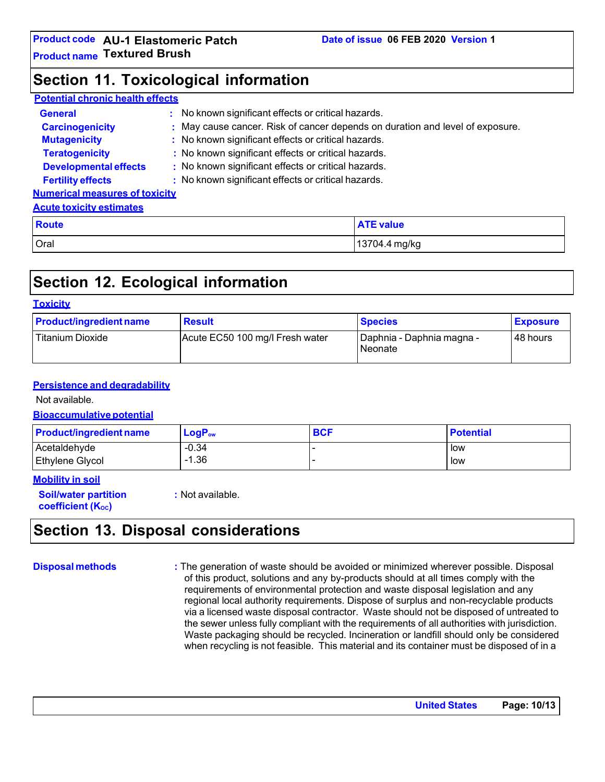# **Section 11. Toxicological information**

#### **Potential chronic health effects**

| <b>General</b>                        | ÷. | No known significant effects or critical hazards.                             |                  |
|---------------------------------------|----|-------------------------------------------------------------------------------|------------------|
| <b>Carcinogenicity</b>                |    | : May cause cancer. Risk of cancer depends on duration and level of exposure. |                  |
| <b>Mutagenicity</b>                   |    | : No known significant effects or critical hazards.                           |                  |
| <b>Teratogenicity</b>                 |    | : No known significant effects or critical hazards.                           |                  |
| <b>Developmental effects</b>          |    | : No known significant effects or critical hazards.                           |                  |
| <b>Fertility effects</b>              |    | : No known significant effects or critical hazards.                           |                  |
| <b>Numerical measures of toxicity</b> |    |                                                                               |                  |
| <b>Acute toxicity estimates</b>       |    |                                                                               |                  |
| <b>Route</b>                          |    |                                                                               | <b>ATE value</b> |

Oral 13704.4 mg/kg

# **Section 12. Ecological information**

#### **Toxicity**

| <b>Product/ingredient name</b> | <b>Result</b>                   | <b>Species</b>                       | <b>Exposure</b> |
|--------------------------------|---------------------------------|--------------------------------------|-----------------|
| Titanium Dioxide               | Acute EC50 100 mg/l Fresh water | Daphnia - Daphnia magna -<br>Neonate | 48 hours        |

#### **Persistence and degradability**

Not available.

#### **Bioaccumulative potential**

| <b>Product/ingredient name</b> | $LogP_{ow}$ | <b>BCF</b> | <b>Potential</b> |
|--------------------------------|-------------|------------|------------------|
| Acetaldehyde                   | $-0.34$     |            | low              |
| Ethylene Glycol                | $-1.36$     |            | low              |

#### **Mobility in soil**

**Soil/water partition coefficient** (K<sub>oc</sub>)

**:** Not available.

# **Section 13. Disposal considerations**

**Disposal methods :** The generation of waste should be avoided or minimized wherever possible. Disposal of this product, solutions and any by-products should at all times comply with the requirements of environmental protection and waste disposal legislation and any regional local authority requirements. Dispose of surplus and non-recyclable products via a licensed waste disposal contractor. Waste should not be disposed of untreated to the sewer unless fully compliant with the requirements of all authorities with jurisdiction. Waste packaging should be recycled. Incineration or landfill should only be considered when recycling is not feasible. This material and its container must be disposed of in a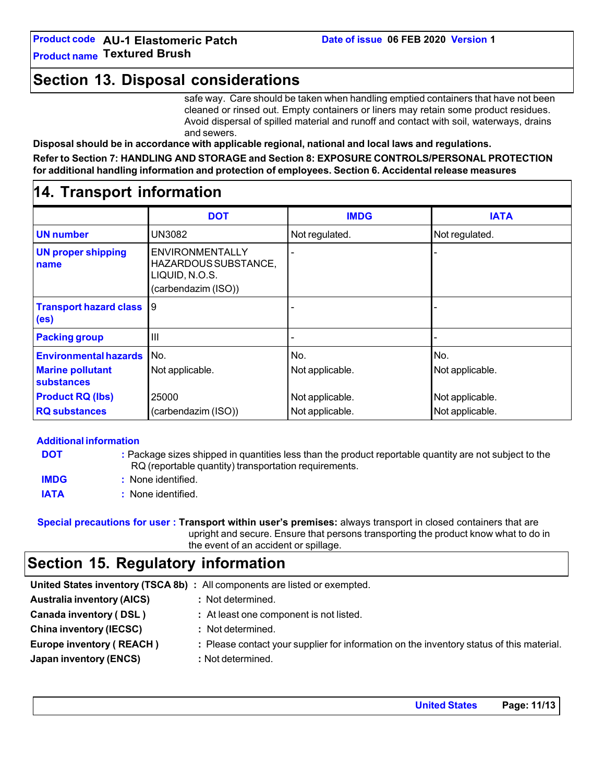**Section 13. Disposal considerations**

safe way. Care should be taken when handling emptied containers that have not been cleaned or rinsed out. Empty containers or liners may retain some product residues. Avoid dispersal of spilled material and runoff and contact with soil, waterways, drains and sewers.

**Disposal should be in accordance with applicable regional, national and local laws and regulations.**

**Refer to Section 7: HANDLING AND STORAGE and Section 8: EXPOSURE CONTROLS/PERSONAL PROTECTION for additional handling information and protection of employees. Section 6. Accidental release measures**

### **14. Transport information**

|                                                    | <b>DOT</b>                                                                              | <b>IMDG</b>     | <b>IATA</b>     |
|----------------------------------------------------|-----------------------------------------------------------------------------------------|-----------------|-----------------|
| <b>UN number</b>                                   | UN3082                                                                                  | Not regulated.  | Not regulated.  |
| <b>UN proper shipping</b><br>name                  | <b>ENVIRONMENTALLY</b><br>HAZARDOUS SUBSTANCE,<br>LIQUID, N.O.S.<br>(carbendazim (ISO)) |                 |                 |
| <b>Transport hazard class</b><br>(e <sub>s</sub> ) | 19                                                                                      |                 |                 |
| <b>Packing group</b>                               | Ш                                                                                       |                 |                 |
| <b>Environmental hazards</b>                       | No.                                                                                     | No.             | No.             |
| <b>Marine pollutant</b><br>substances              | Not applicable.                                                                         | Not applicable. | Not applicable. |
| <b>Product RQ (lbs)</b>                            | 25000                                                                                   | Not applicable. | Not applicable. |
| <b>RQ substances</b>                               | (carbendazim (ISO))                                                                     | Not applicable. | Not applicable. |

|             | <b>Additional information</b>                                                                                                                                   |
|-------------|-----------------------------------------------------------------------------------------------------------------------------------------------------------------|
| <b>DOT</b>  | : Package sizes shipped in quantities less than the product reportable quantity are not subject to the<br>RQ (reportable quantity) transportation requirements. |
| <b>IMDG</b> | : None identified.                                                                                                                                              |
| <b>IATA</b> | : None identified.                                                                                                                                              |

**Special precautions for user : Transport within user's premises:** always transport in closed containers that are upright and secure. Ensure that persons transporting the product know what to do in the event of an accident or spillage.

# **Section 15. Regulatory information**

|                                   | United States inventory (TSCA 8b) : All components are listed or exempted.               |
|-----------------------------------|------------------------------------------------------------------------------------------|
| <b>Australia inventory (AICS)</b> | : Not determined.                                                                        |
| Canada inventory (DSL)            | : At least one component is not listed.                                                  |
| <b>China inventory (IECSC)</b>    | : Not determined.                                                                        |
| <b>Europe inventory (REACH)</b>   | : Please contact your supplier for information on the inventory status of this material. |
| Japan inventory (ENCS)            | : Not determined.                                                                        |
|                                   |                                                                                          |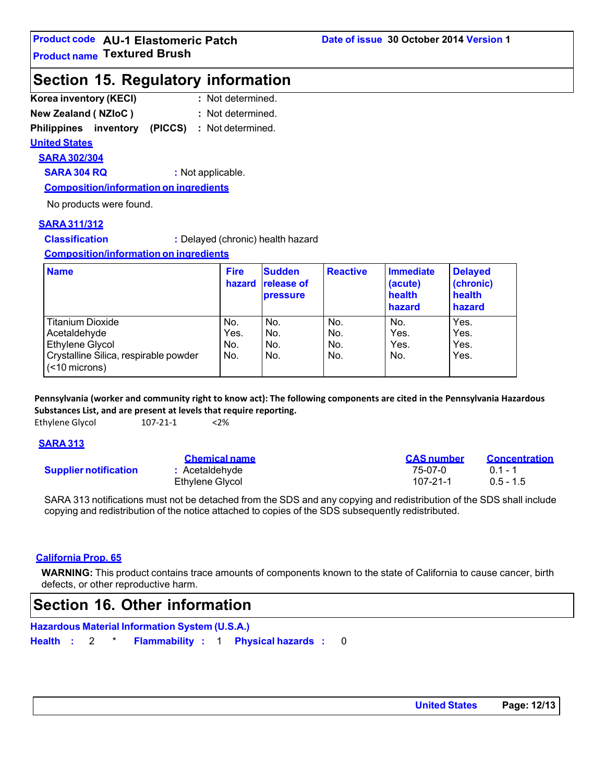### **Section 15. Regulatory information**

| Korea inventory (KECI)     | : Not determined. |
|----------------------------|-------------------|
| <b>New Zealand (NZIoC)</b> | : Not determined. |

**Philippines inventory (PICCS) :** Not determined.

#### **United States**

**SARA 302/304**

**SARA 304 RQ :** Not applicable.

**Composition/information on ingredients**

No products were found.

#### **SARA 311/312**

**Classification :** Delayed (chronic) health hazard

**Composition/information on ingredients**

| <b>Name</b>                                            | <b>Fire</b><br>hazard | <b>Sudden</b><br><b>release of</b><br><b>pressure</b> | <b>Reactive</b> | Immediate<br>(acute)<br>health<br>hazard | <b>Delayed</b><br>(chronic)<br>health<br>hazard |
|--------------------------------------------------------|-----------------------|-------------------------------------------------------|-----------------|------------------------------------------|-------------------------------------------------|
| <b>Titanium Dioxide</b>                                | No.                   | No.                                                   | No.             | No.                                      | Yes.                                            |
| Acetaldehyde                                           | Yes.                  | No.                                                   | No.             | Yes.                                     | Yes.                                            |
| Ethylene Glycol                                        | No.                   | No.                                                   | No.             | Yes.                                     | Yes.                                            |
| Crystalline Silica, respirable powder<br>(<10 microns) | No.                   | No.                                                   | No.             | No.                                      | Yes.                                            |

**Pennsylvania (worker and community right to know act): The following components are cited in the Pennsylvania Hazardous Substances List, and are present at levels that require reporting.**

Ethylene Glycol 107-21-1 <2%

### **SARA 313**

**Supplier notification** 

| <u>Unennual Hame</u> |  |
|----------------------|--|
| : Acetaldehyde       |  |
| Ethylene Glycol      |  |

| <b>Chemical name</b>  | <b>CAS</b> number | <b>Concentration</b> |
|-----------------------|-------------------|----------------------|
| <b>:</b> Acetaldehyde | 75-07-0           | $01 - 1$             |
| Ethylene Glycol       | 107-21-1          | $0.5 - 1.5$          |

SARA 313 notifications must not be detached from the SDS and any copying and redistribution of the SDS shall include copying and redistribution of the notice attached to copies of the SDS subsequently redistributed.

### **California Prop. 65**

**WARNING:** This product contains trace amounts of components known to the state of California to cause cancer, birth defects, or other reproductive harm.

# **Section 16. Other information**

**Hazardous Material Information System (U.S.A.)**

**Health :** 2 \* **Flammability :** 1 **Physical hazards :** 0